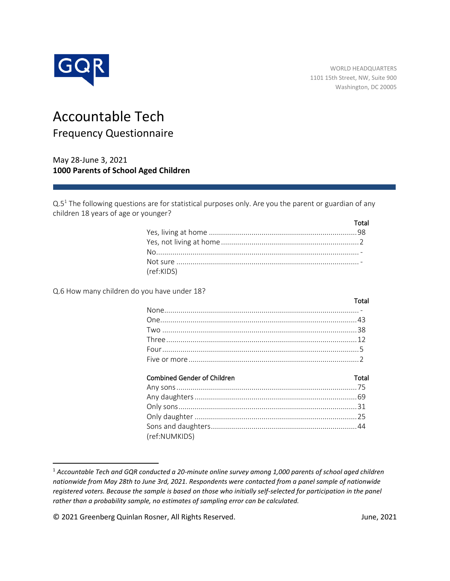

# Accountable Tech Frequency Questionnaire

May 28-June 3, 2021 **1000 Parents of School Aged Children**

Q.5<sup>1</sup> The following questions are for statistical purposes only. Are you the parent or guardian of any children 18 years of age or younger?

|            | Total |
|------------|-------|
|            |       |
|            |       |
|            |       |
|            |       |
| (ref:KIDS) |       |

Q.6 How many children do you have under 18?

| and the contract of the Total |
|-------------------------------|
|                               |
|                               |
|                               |
|                               |
|                               |
|                               |

### Combined Gender of Children Total

| (ref:NUMKIDS) |  |
|---------------|--|

<sup>1</sup> *Accountable Tech and GQR conducted a 20-minute online survey among 1,000 parents of school aged children nationwide from May 28th to June 3rd, 2021. Respondents were contacted from a panel sample of nationwide registered voters. Because the sample is based on those who initially self-selected for participation in the panel rather than a probability sample, no estimates of sampling error can be calculated.*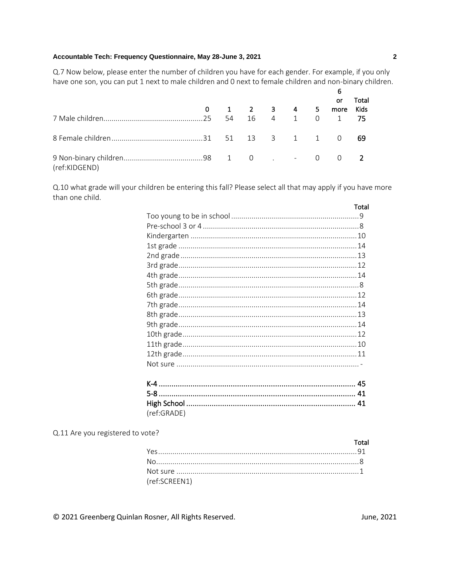Q.7 Now below, please enter the number of children you have for each gender. For example, if you only have one son, you can put 1 next to male children and 0 next to female children and non-binary children.

|               |  | $0 \qquad 1 \qquad 2 \qquad 3 \qquad 4 \qquad 5$ |  | or<br>more | Total<br>Kids |
|---------------|--|--------------------------------------------------|--|------------|---------------|
|               |  |                                                  |  |            |               |
|               |  |                                                  |  |            | - 69          |
| (ref:KIDGEND) |  |                                                  |  |            |               |

Q.10 what grade will your children be entering this fall? Please select all that may apply if you have more than one child.

|     | Total                                                                                                                                                                                                                                                                                                                                                                                |
|-----|--------------------------------------------------------------------------------------------------------------------------------------------------------------------------------------------------------------------------------------------------------------------------------------------------------------------------------------------------------------------------------------|
|     |                                                                                                                                                                                                                                                                                                                                                                                      |
|     |                                                                                                                                                                                                                                                                                                                                                                                      |
|     |                                                                                                                                                                                                                                                                                                                                                                                      |
|     |                                                                                                                                                                                                                                                                                                                                                                                      |
|     |                                                                                                                                                                                                                                                                                                                                                                                      |
|     |                                                                                                                                                                                                                                                                                                                                                                                      |
|     |                                                                                                                                                                                                                                                                                                                                                                                      |
|     |                                                                                                                                                                                                                                                                                                                                                                                      |
|     |                                                                                                                                                                                                                                                                                                                                                                                      |
|     |                                                                                                                                                                                                                                                                                                                                                                                      |
|     |                                                                                                                                                                                                                                                                                                                                                                                      |
|     |                                                                                                                                                                                                                                                                                                                                                                                      |
|     |                                                                                                                                                                                                                                                                                                                                                                                      |
|     |                                                                                                                                                                                                                                                                                                                                                                                      |
|     |                                                                                                                                                                                                                                                                                                                                                                                      |
|     |                                                                                                                                                                                                                                                                                                                                                                                      |
|     |                                                                                                                                                                                                                                                                                                                                                                                      |
| r o | $\overline{A}$ $\overline{A}$ $\overline{A}$ $\overline{A}$ $\overline{A}$ $\overline{A}$ $\overline{A}$ $\overline{A}$ $\overline{A}$ $\overline{A}$ $\overline{A}$ $\overline{A}$ $\overline{A}$ $\overline{A}$ $\overline{A}$ $\overline{A}$ $\overline{A}$ $\overline{A}$ $\overline{A}$ $\overline{A}$ $\overline{A}$ $\overline{A}$ $\overline{A}$ $\overline{A}$ $\overline{$ |

| (ref:GRADE) |  |
|-------------|--|

Q.11 Are you registered to vote?

|               | Total |
|---------------|-------|
|               |       |
|               |       |
|               |       |
| (ref:SCREEN1) |       |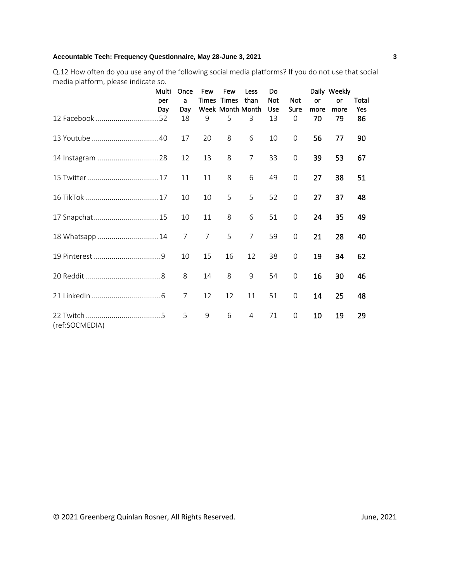Q.12 How often do you use any of the following social media platforms? If you do not use that social media platform, please indicate so.

|                  | Multi | Once           | Few            | Few                   | Less           | Do               |                     |            | Daily Weekly |           |
|------------------|-------|----------------|----------------|-----------------------|----------------|------------------|---------------------|------------|--------------|-----------|
|                  | per   | a              |                | Times Times           | than           | <b>Not</b>       | Not                 | <b>or</b>  | or           | Total     |
|                  | Day   | Day<br>18      | 9              | Week Month Month<br>5 | 3              | <b>Use</b><br>13 | Sure<br>0           | more<br>70 | more<br>79   | Yes<br>86 |
|                  |       | 17             | 20             | 8                     | 6              | 10               | 0                   | 56         | 77           | 90        |
| 14 Instagram  28 |       | 12             | 13             | 8                     | $\overline{7}$ | 33               | 0                   | 39         | 53           | 67        |
|                  |       | 11             | 11             | 8                     | 6              | 49               | 0                   | 27         | 38           | 51        |
|                  |       | 10             | 10             | 5                     | 5              | 52               | $\mathsf{O}\xspace$ | 27         | 37           | 48        |
| 17 Snapchat 15   |       | 10             | 11             | 8                     | 6              | 51               | $\mathsf{O}\xspace$ | 24         | 35           | 49        |
| 18 Whatsapp  14  |       | $\overline{7}$ | $\overline{7}$ | 5                     | $\overline{7}$ | 59               | $\mathsf{O}\xspace$ | 21         | 28           | 40        |
|                  |       | 10             | 15             | 16                    | 12             | 38               | $\mathbf 0$         | 19         | 34           | 62        |
|                  |       | 8              | 14             | 8                     | 9              | 54               | $\mathbf 0$         | 16         | 30           | 46        |
|                  |       | 7              | 12             | 12                    | 11             | 51               | $\mathsf{O}\xspace$ | 14         | 25           | 48        |
| (ref:SOCMEDIA)   |       | 5              | 9              | 6                     | $\overline{4}$ | 71               | $\mathbf 0$         | 10         | 19           | 29        |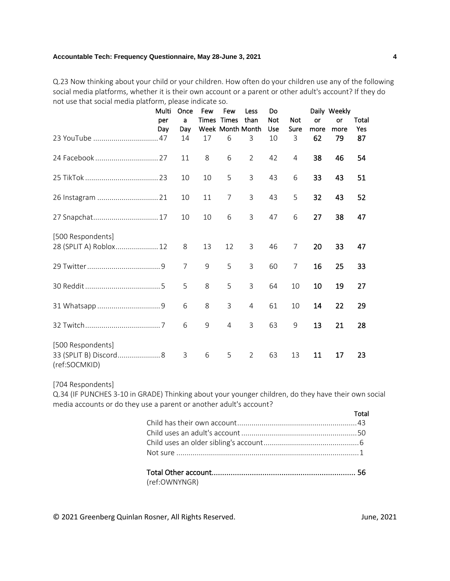Q.23 Now thinking about your child or your children. How often do your children use any of the following social media platforms, whether it is their own account or a parent or other adult's account? If they do not use that social media platform, please indicate so.

|                                                              | Multi | Once           | Few | Few              | Less           | Do         |                |           | Daily Weekly |       |
|--------------------------------------------------------------|-------|----------------|-----|------------------|----------------|------------|----------------|-----------|--------------|-------|
|                                                              | per   | a              |     | Times Times      | than           | <b>Not</b> | <b>Not</b>     | <b>or</b> | or           | Total |
|                                                              | Day   | Day            |     | Week Month Month |                | Use        | Sure           | more      | more         | Yes   |
|                                                              |       | 14             | 17  | 6                | 3              | 10         | 3              | 62        | 79           | 87    |
| 24 Facebook  27                                              |       | 11             | 8   | 6                | $\overline{2}$ | 42         | $\overline{4}$ | 38        | 46           | 54    |
|                                                              |       | 10             | 10  | 5                | 3              | 43         | 6              | 33        | 43           | 51    |
| 26 Instagram  21                                             |       | 10             | 11  | $\overline{7}$   | 3              | 43         | 5              | 32        | 43           | 52    |
| 27 Snapchat 17                                               |       | 10             | 10  | 6                | 3              | 47         | 6              | 27        | 38           | 47    |
| [500 Respondents]                                            |       |                |     |                  |                |            |                |           |              |       |
| 28 (SPLIT A) Roblox 12                                       |       | 8              | 13  | 12               | 3              | 46         | $\overline{7}$ | 20        | 33           | 47    |
|                                                              |       | $\overline{7}$ | 9   | 5                | 3              | 60         | 7              | 16        | 25           | 33    |
|                                                              |       | 5              | 8   | 5                | $\overline{3}$ | 64         | 10             | 10        | 19           | 27    |
|                                                              |       | 6              | 8   | 3                | 4              | 61         | 10             | 14        | 22           | 29    |
|                                                              |       | 6              | 9   | 4                | 3              | 63         | 9              | 13        | 21           | 28    |
| [500 Respondents]<br>33 (SPLIT B) Discord 8<br>(ref:SOCMKID) |       | 3              | 6   | 5                | $\overline{2}$ | 63         | 13             | 11        | 17           | 23    |

[704 Respondents]

Q.34 (IF PUNCHES 3-10 in GRADE) Thinking about your younger children, do they have their own social media accounts or do they use a parent or another adult's account?

|                                               | Total |
|-----------------------------------------------|-------|
|                                               |       |
|                                               |       |
|                                               |       |
| Not sure ……………………………………………………………………………………………1 |       |

Total Other account.................................................................... 56 (ref:OWNYNGR)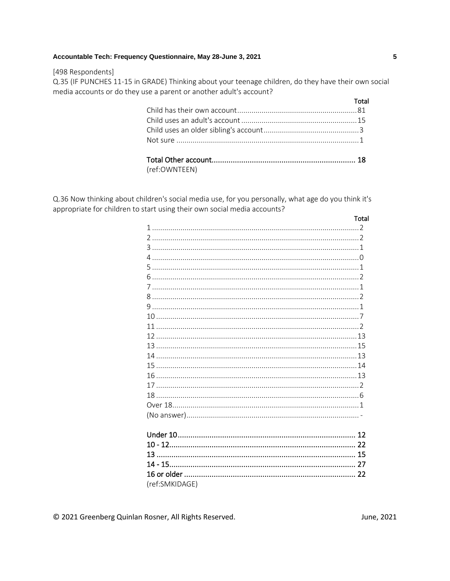#### [498 Respondents]

Q.35 (IF PUNCHES 11-15 in GRADE) Thinking about your teenage children, do they have their own social media accounts or do they use a parent or another adult's account?

|               | Total |
|---------------|-------|
|               |       |
|               |       |
|               |       |
|               |       |
|               |       |
|               |       |
| (ref:OWNTEEN) |       |

Q.36 Now thinking about children's social media use, for you personally, what age do you think it's appropriate for children to start using their own social media accounts?

| Total                                                                                                                                                                                                                                                                                                                  |  |
|------------------------------------------------------------------------------------------------------------------------------------------------------------------------------------------------------------------------------------------------------------------------------------------------------------------------|--|
|                                                                                                                                                                                                                                                                                                                        |  |
| $\overline{z}$ , and $\overline{z}$ , and $\overline{z}$ , and $\overline{z}$ , and $\overline{z}$ , and $\overline{z}$ , and $\overline{z}$ , and $\overline{z}$ , and $\overline{z}$ , and $\overline{z}$ , and $\overline{z}$ , and $\overline{z}$ , and $\overline{z}$ , and $\overline{z}$ , and $\overline{z}$ , |  |
|                                                                                                                                                                                                                                                                                                                        |  |
|                                                                                                                                                                                                                                                                                                                        |  |
|                                                                                                                                                                                                                                                                                                                        |  |
|                                                                                                                                                                                                                                                                                                                        |  |
|                                                                                                                                                                                                                                                                                                                        |  |
|                                                                                                                                                                                                                                                                                                                        |  |
|                                                                                                                                                                                                                                                                                                                        |  |
|                                                                                                                                                                                                                                                                                                                        |  |
|                                                                                                                                                                                                                                                                                                                        |  |
|                                                                                                                                                                                                                                                                                                                        |  |
|                                                                                                                                                                                                                                                                                                                        |  |
|                                                                                                                                                                                                                                                                                                                        |  |
|                                                                                                                                                                                                                                                                                                                        |  |
|                                                                                                                                                                                                                                                                                                                        |  |
|                                                                                                                                                                                                                                                                                                                        |  |
|                                                                                                                                                                                                                                                                                                                        |  |
|                                                                                                                                                                                                                                                                                                                        |  |
|                                                                                                                                                                                                                                                                                                                        |  |
|                                                                                                                                                                                                                                                                                                                        |  |
|                                                                                                                                                                                                                                                                                                                        |  |
|                                                                                                                                                                                                                                                                                                                        |  |
|                                                                                                                                                                                                                                                                                                                        |  |
|                                                                                                                                                                                                                                                                                                                        |  |
|                                                                                                                                                                                                                                                                                                                        |  |
| (ref:SMKIDAGE)                                                                                                                                                                                                                                                                                                         |  |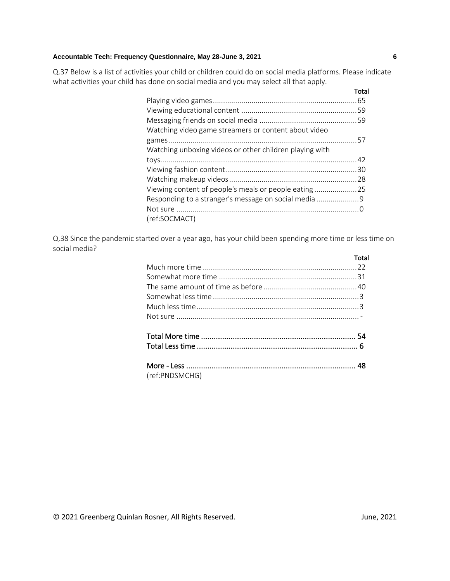Q.37 Below is a list of activities your child or children could do on social media platforms. Please indicate what activities your child has done on social media and you may select all that apply.

|                                                         | Total |
|---------------------------------------------------------|-------|
|                                                         |       |
|                                                         |       |
|                                                         |       |
| Watching video game streamers or content about video    |       |
|                                                         |       |
| Watching unboxing videos or other children playing with |       |
|                                                         |       |
|                                                         |       |
|                                                         |       |
| Viewing content of people's meals or people eating      |       |
| Responding to a stranger's message on social media 9    |       |
|                                                         |       |
| (ref:SOCMACT)                                           |       |

Q.38 Since the pandemic started over a year ago, has your child been spending more time or less time on social media?

|                | Total |
|----------------|-------|
|                |       |
|                |       |
|                |       |
|                |       |
|                |       |
|                |       |
|                |       |
|                |       |
|                |       |
|                |       |
| (ref:PNDSMCHG) |       |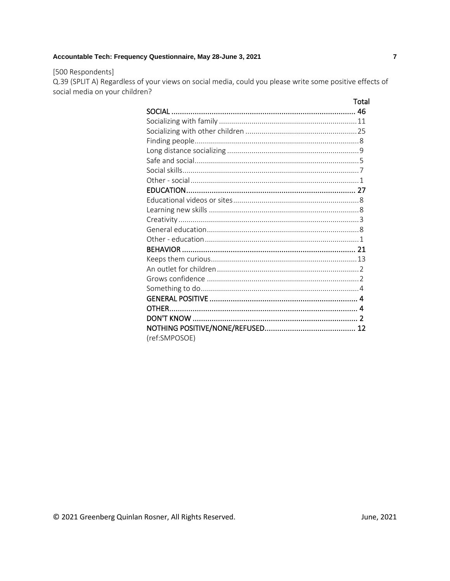# [500 Respondents]

Q.39 (SPLIT A) Regardless of your views on social media, could you please write some positive effects of social media on your children?

|               | Total |
|---------------|-------|
|               |       |
|               |       |
|               |       |
|               |       |
|               |       |
|               |       |
|               |       |
|               |       |
|               |       |
|               |       |
|               |       |
|               |       |
|               |       |
|               |       |
|               |       |
|               |       |
|               |       |
|               |       |
|               |       |
|               |       |
|               |       |
|               |       |
|               |       |
| (ref:SMPOSOE) |       |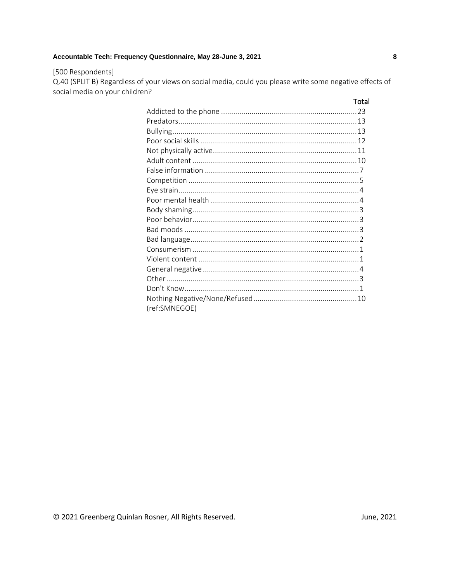# [500 Respondents]

Q.40 (SPLIT B) Regardless of your views on social media, could you please write some negative effects of social media on your children?

|               | Total |
|---------------|-------|
|               |       |
|               |       |
|               |       |
|               |       |
|               |       |
|               |       |
|               |       |
|               |       |
|               |       |
|               |       |
|               |       |
|               |       |
|               |       |
|               |       |
|               |       |
|               |       |
|               |       |
|               |       |
|               |       |
|               |       |
| (ref:SMNEGOE) |       |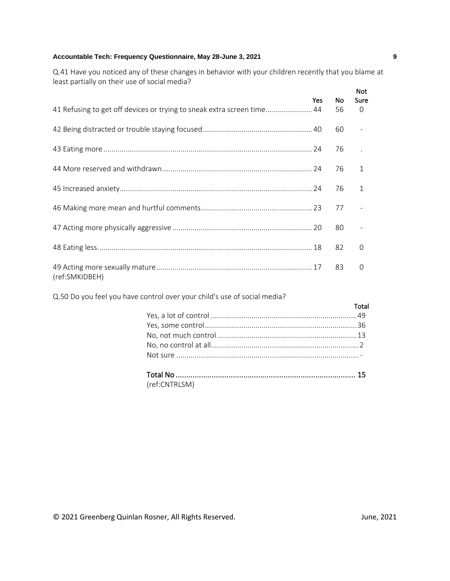Q.41 Have you noticed any of these changes in behavior with your children recently that you blame at least partially on their use of social media?

|                                                                        |     |           | <b>Not</b>     |
|------------------------------------------------------------------------|-----|-----------|----------------|
|                                                                        | Yes | <b>No</b> | <b>Sure</b>    |
| 41 Refusing to get off devices or trying to sneak extra screen time 44 |     | 56        | 0              |
|                                                                        |     | 60        |                |
|                                                                        |     | 76        | $\mathbb{R}^2$ |
|                                                                        |     | 76        | $\mathbf{1}$   |
|                                                                        |     | 76        | 1              |
|                                                                        |     | 77        |                |
|                                                                        |     | 80        |                |
|                                                                        |     | 82        | $\Omega$       |
| (ref:SMKIDBEH)                                                         |     | 83        | $\Omega$       |

Q.50 Do you feel you have control over your child's use of social media?

| Total |
|-------|
|       |
|       |
|       |
|       |
|       |
|       |
|       |

| (ref:CNTRLSM) |  |
|---------------|--|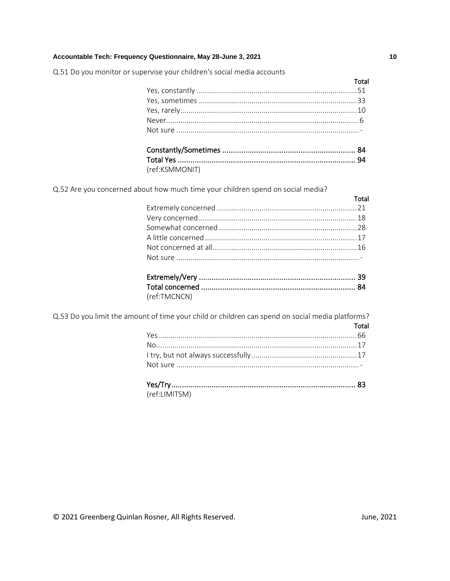Q.51 Do you monitor or supervise your children's social media accounts

| Total |
|-------|
|       |
|       |
|       |
|       |
|       |
|       |
|       |

Q.52 Are you concerned about how much time your children spend on social media?

(ref:KSMMONIT)

| Total |
|-------|
|       |
|       |
|       |
|       |
|       |
|       |
|       |

| (ref:TMCNCN) |  |
|--------------|--|

Q.53 Do you limit the amount of time your child or children can spend on social media platforms? Total

| $\mathbf{r}$ , and the contract of the contract of the contract of the contract of the contract of the contract of the contract of the contract of the contract of the contract of the contract of the contract of the contract o |  |
|-----------------------------------------------------------------------------------------------------------------------------------------------------------------------------------------------------------------------------------|--|

(ref:LIMITSM)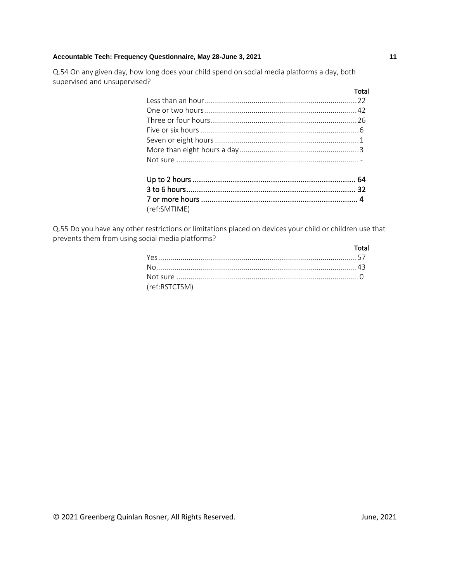Q.54 On any given day, how long does your child spend on social media platforms a day, both supervised and unsupervised?

|              | Total |
|--------------|-------|
|              |       |
|              |       |
|              |       |
|              |       |
|              |       |
|              |       |
|              |       |
|              |       |
|              |       |
|              |       |
| (ref:SMTIME) |       |

Q.55 Do you have any other restrictions or limitations placed on devices your child or children use that prevents them from using social media platforms?

|               | Total |
|---------------|-------|
|               |       |
|               |       |
|               |       |
| (ref:RSTCTSM) |       |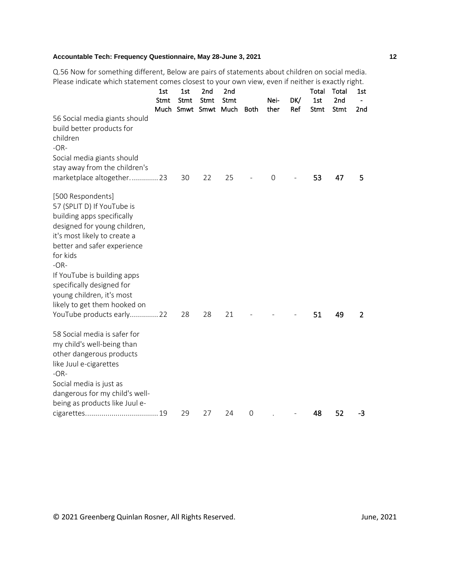Q.56 Now for something different, Below are pairs of statements about children on social media. Please indicate which statement comes closest to your own view, even if neither is exactly right.

|                                                                                                                                                                                                                                                                                                                                                          | 1st<br>Stmt | 1st<br>Stmt | 2nd<br>Stmt<br>Much Smwt Smwt Much | 2nd<br>Stmt | <b>Both</b> | Nei-<br>ther   | DK/<br>Ref | Total<br>1st<br>Stmt | Total<br>2nd<br>Stmt | 1st<br>2 <sub>nd</sub> |
|----------------------------------------------------------------------------------------------------------------------------------------------------------------------------------------------------------------------------------------------------------------------------------------------------------------------------------------------------------|-------------|-------------|------------------------------------|-------------|-------------|----------------|------------|----------------------|----------------------|------------------------|
| 56 Social media giants should<br>build better products for<br>children<br>$-OR-$<br>Social media giants should<br>stay away from the children's                                                                                                                                                                                                          |             |             |                                    |             |             |                |            |                      |                      |                        |
| marketplace altogether 23                                                                                                                                                                                                                                                                                                                                |             | 30          | 22                                 | 25          |             | $\overline{0}$ |            | 53                   | 47                   | 5                      |
| [500 Respondents]<br>57 (SPLIT D) If YouTube is<br>building apps specifically<br>designed for young children,<br>it's most likely to create a<br>better and safer experience<br>for kids<br>$-OR-$<br>If YouTube is building apps<br>specifically designed for<br>young children, it's most<br>likely to get them hooked on<br>YouTube products early 22 |             | 28          | 28                                 | 21          |             |                |            | 51                   | 49                   | 2                      |
| 58 Social media is safer for<br>my child's well-being than<br>other dangerous products<br>like Juul e-cigarettes<br>$-OR-$<br>Social media is just as                                                                                                                                                                                                    |             |             |                                    |             |             |                |            |                      |                      |                        |
| dangerous for my child's well-<br>being as products like Juul e-                                                                                                                                                                                                                                                                                         |             |             |                                    |             |             |                |            |                      |                      |                        |
|                                                                                                                                                                                                                                                                                                                                                          |             | 29          | 27                                 | 24          | $\mathbf 0$ |                |            | 48                   | 52                   | -3                     |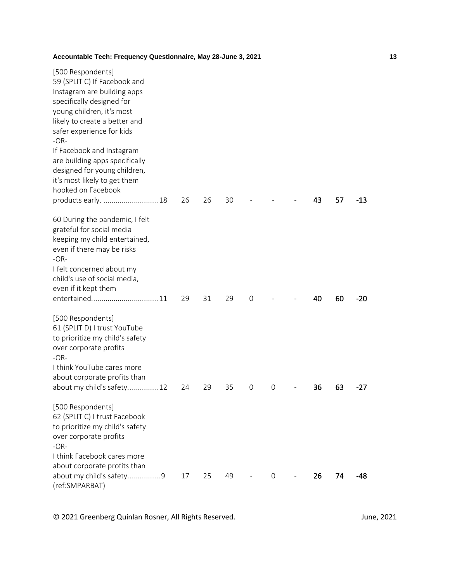| [500 Respondents]<br>59 (SPLIT C) If Facebook and<br>Instagram are building apps<br>specifically designed for<br>young children, it's most<br>likely to create a better and<br>safer experience for kids<br>$-OR-$<br>If Facebook and Instagram<br>are building apps specifically<br>designed for young children,<br>it's most likely to get them |    |    |    |               |             |    |    |       |
|---------------------------------------------------------------------------------------------------------------------------------------------------------------------------------------------------------------------------------------------------------------------------------------------------------------------------------------------------|----|----|----|---------------|-------------|----|----|-------|
| hooked on Facebook                                                                                                                                                                                                                                                                                                                                |    |    |    |               |             |    |    |       |
| products early.  18                                                                                                                                                                                                                                                                                                                               | 26 | 26 | 30 |               |             | 43 | 57 | $-13$ |
| 60 During the pandemic, I felt<br>grateful for social media<br>keeping my child entertained,<br>even if there may be risks<br>$-OR-$                                                                                                                                                                                                              |    |    |    |               |             |    |    |       |
| I felt concerned about my<br>child's use of social media,                                                                                                                                                                                                                                                                                         |    |    |    |               |             |    |    |       |
| even if it kept them                                                                                                                                                                                                                                                                                                                              |    |    |    |               |             |    |    |       |
|                                                                                                                                                                                                                                                                                                                                                   | 29 | 31 | 29 | $\mathbf 0$   |             | 40 | 60 | $-20$ |
| [500 Respondents]<br>61 (SPLIT D) I trust YouTube<br>to prioritize my child's safety<br>over corporate profits<br>$-OR-$                                                                                                                                                                                                                          |    |    |    |               |             |    |    |       |
| I think YouTube cares more                                                                                                                                                                                                                                                                                                                        |    |    |    |               |             |    |    |       |
| about corporate profits than<br>about my child's safety 12                                                                                                                                                                                                                                                                                        | 24 | 29 | 35 | $\mathcal{O}$ | $\mathbf 0$ | 36 | 63 | -27   |
| [500 Respondents]<br>62 (SPLIT C) I trust Facebook<br>to prioritize my child's safety<br>over corporate profits<br>$-OR-$                                                                                                                                                                                                                         |    |    |    |               |             |    |    |       |
| I think Facebook cares more                                                                                                                                                                                                                                                                                                                       |    |    |    |               |             |    |    |       |
| about corporate profits than<br>about my child's safety9<br>(ref:SMPARBAT)                                                                                                                                                                                                                                                                        | 17 | 25 | 49 |               | 0           | 26 | 74 | -48   |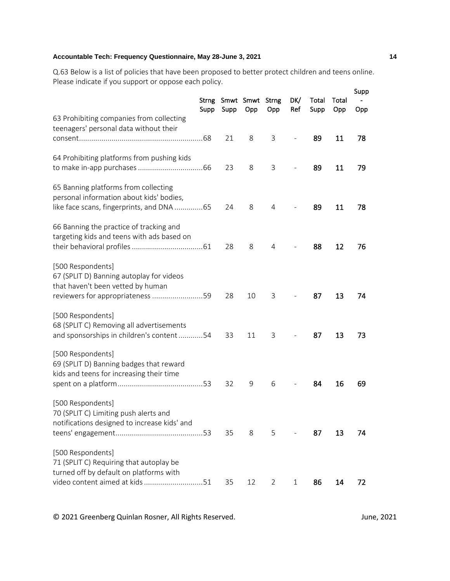Q.63 Below is a list of policies that have been proposed to better protect children and teens online. Please indicate if you support or oppose each policy.

|                                                                                                                                           | <b>Strng</b><br>Supp | Supp | Smwt Smwt<br>Opp | <b>Strng</b><br>Opp | DK/<br>Ref               | Total<br>Supp | Total<br>Opp | Supp<br>Opp |
|-------------------------------------------------------------------------------------------------------------------------------------------|----------------------|------|------------------|---------------------|--------------------------|---------------|--------------|-------------|
| 63 Prohibiting companies from collecting<br>teenagers' personal data without their                                                        |                      | 21   | 8                | 3                   | $\overline{\phantom{a}}$ | 89            | 11           | 78          |
| 64 Prohibiting platforms from pushing kids                                                                                                |                      | 23   | 8                | 3                   |                          | 89            | 11           | 79          |
| 65 Banning platforms from collecting<br>personal information about kids' bodies,<br>like face scans, fingerprints, and DNA 65             |                      | 24   | 8                | 4                   |                          | 89            | 11           | 78          |
| 66 Banning the practice of tracking and<br>targeting kids and teens with ads based on                                                     |                      | 28   | 8                | 4                   |                          | 88            | 12           | 76          |
| [500 Respondents]<br>67 (SPLIT D) Banning autoplay for videos<br>that haven't been vetted by human<br>reviewers for appropriateness 59    |                      | 28   | 10               | 3                   |                          | 87            | 13           | 74          |
| [500 Respondents]<br>68 (SPLIT C) Removing all advertisements<br>and sponsorships in children's content54                                 |                      | 33   | 11               | 3                   |                          | 87            | 13           | 73          |
| [500 Respondents]<br>69 (SPLIT D) Banning badges that reward<br>kids and teens for increasing their time                                  |                      | 32   | 9                | 6                   |                          | 84            | 16           | 69          |
| [500 Respondents]<br>70 (SPLIT C) Limiting push alerts and<br>notifications designed to increase kids' and                                |                      | 35   | 8                | 5                   |                          | 87            | 13           | 74          |
| [500 Respondents]<br>71 (SPLIT C) Requiring that autoplay be<br>turned off by default on platforms with<br>video content aimed at kids 51 |                      | 35   | 12               | 2                   | 1                        | 86            | 14           | 72          |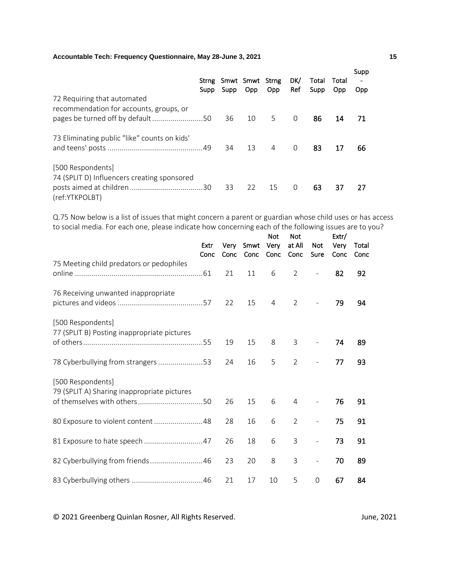|                                                                                                            | Supp | Supp | Strng Smwt Smwt Strng<br>Opp | Opp.           | DK/<br>Ref | Total<br>Supp | Total<br><b>Opp</b> | Supp<br>Opp. |
|------------------------------------------------------------------------------------------------------------|------|------|------------------------------|----------------|------------|---------------|---------------------|--------------|
| 72 Requiring that automated<br>recommendation for accounts, groups, or<br>pages be turned off by default50 |      | 36   | 10 5                         |                | $\Omega$   | 86            | 14                  | -71          |
| 73 Eliminating public "like" counts on kids"                                                               |      | 34   | 13                           | $\overline{4}$ | $\Omega$   | 83            | 17                  | 66           |
| [500 Respondents]<br>74 (SPLIT D) Influencers creating sponsored<br>(ref:YTKPOLBT)                         |      | 33   | 22                           | 15             | $\Omega$   | 63            | 37                  | 27           |

Q.75 Now below is a list of issues that might concern a parent or guardian whose child uses or has access to social media. For each one, please indicate how concerning each of the following issues are to you?

|                                                                                                 | Extr<br>Conc | Very<br>Conc | Smwt<br>Conc | <b>Not</b><br>Very<br>Conc | <b>Not</b><br>at All<br>Conc | <b>Not</b><br>Sure       | Extr/<br>Very<br>Conc | Total<br>Conc |  |
|-------------------------------------------------------------------------------------------------|--------------|--------------|--------------|----------------------------|------------------------------|--------------------------|-----------------------|---------------|--|
| 75 Meeting child predators or pedophiles                                                        |              | 21           | 11           | 6                          | 2                            |                          | 82                    | 92            |  |
| 76 Receiving unwanted inappropriate                                                             |              | 22           | 15           | $\overline{4}$             | 2                            |                          | 79                    | 94            |  |
| [500 Respondents]<br>77 (SPLIT B) Posting inappropriate pictures                                |              | 19           | 15           | 8                          | 3                            | $\overline{\phantom{a}}$ | 74                    | 89            |  |
| 78 Cyberbullying from strangers 53                                                              |              | 24           | 16           | 5                          | 2                            | $\overline{\phantom{a}}$ | 77                    | 93            |  |
| [500 Respondents]<br>79 (SPLIT A) Sharing inappropriate pictures<br>of themselves with others50 |              | 26           | 15           | 6                          | 4                            |                          | 76                    | 91            |  |
| 80 Exposure to violent content 48                                                               |              | 28           | 16           | 6                          | $\overline{2}$               |                          | 75                    | 91            |  |
|                                                                                                 |              | 26           | 18           | 6                          | 3                            | $\overline{\phantom{a}}$ | 73                    | 91            |  |
| 82 Cyberbullying from friends 46                                                                |              | 23           | 20           | 8                          | 3                            | $\overline{\phantom{a}}$ | 70                    | 89            |  |
|                                                                                                 |              | 21           | 17           | 10                         | 5                            | $\mathbf 0$              | 67                    | 84            |  |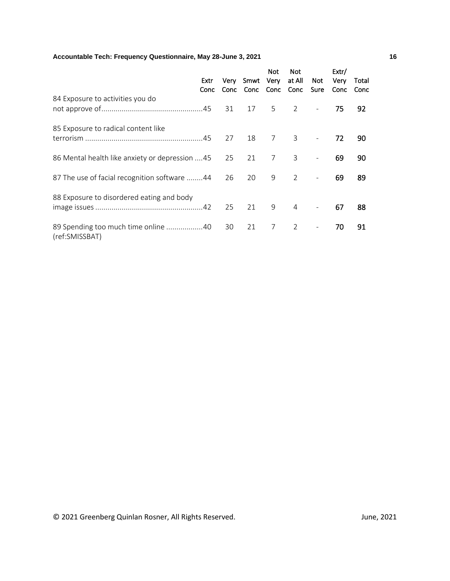|                                                       | Extr<br>Conc |    | Very Smwt Very<br>Conc Conc Conc Conc | Not.           | Not.<br>at All             | Not<br>Sure              | Extr/<br>Very<br>Conc | Total<br>Conc |
|-------------------------------------------------------|--------------|----|---------------------------------------|----------------|----------------------------|--------------------------|-----------------------|---------------|
| 84 Exposure to activities you do                      |              |    |                                       |                | 17 5 2                     | $\sim$                   | 75                    | 92            |
| 85 Exposure to radical content like                   |              | 27 | 18                                    | $\overline{7}$ | $\overline{\phantom{a}}$ 3 | $\equiv$                 | 72                    | 90            |
| 86 Mental health like anxiety or depression 45        |              | 25 | 21                                    | 7              | $\overline{\phantom{a}}$   |                          | 69                    | 90            |
| 87 The use of facial recognition software 44          |              | 26 | 20                                    | 9              | $\overline{2}$             |                          | 69                    | 89            |
| 88 Exposure to disordered eating and body             |              | 25 | 21                                    | 9              | $\overline{4}$             |                          | 67                    | 88            |
| 89 Spending too much time online 40<br>(ref:SMISSBAT) |              | 30 | 21                                    | 7              | 2                          | $\overline{\phantom{a}}$ | 70                    | 91            |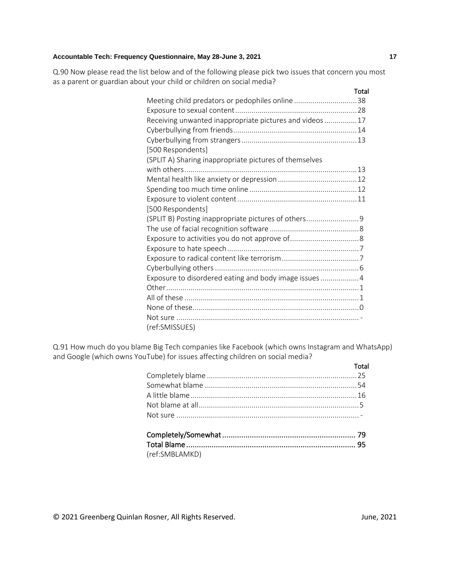Q.90 Now please read the list below and of the following please pick two issues that concern you most as a parent or guardian about your child or children on social media?

|                                                          | Total |
|----------------------------------------------------------|-------|
| Meeting child predators or pedophiles online38           |       |
|                                                          |       |
| Receiving unwanted inappropriate pictures and videos  17 |       |
|                                                          |       |
|                                                          |       |
| [500 Respondents]                                        |       |
| (SPLIT A) Sharing inappropriate pictures of themselves   |       |
|                                                          |       |
|                                                          |       |
|                                                          |       |
|                                                          |       |
| [500 Respondents]                                        |       |
| (SPLIT B) Posting inappropriate pictures of others       |       |
|                                                          |       |
|                                                          |       |
|                                                          |       |
|                                                          |       |
|                                                          |       |
| Exposure to disordered eating and body image issues  4   |       |
|                                                          |       |
|                                                          |       |
|                                                          |       |
|                                                          |       |
| (ref:SMISSUES)                                           |       |

Q.91 How much do you blame Big Tech companies like Facebook (which owns Instagram and WhatsApp) and Google (which owns YouTube) for issues affecting children on social media?

|                | Total |
|----------------|-------|
|                |       |
|                |       |
|                |       |
|                |       |
|                |       |
| (ref:SMBLAMKD) |       |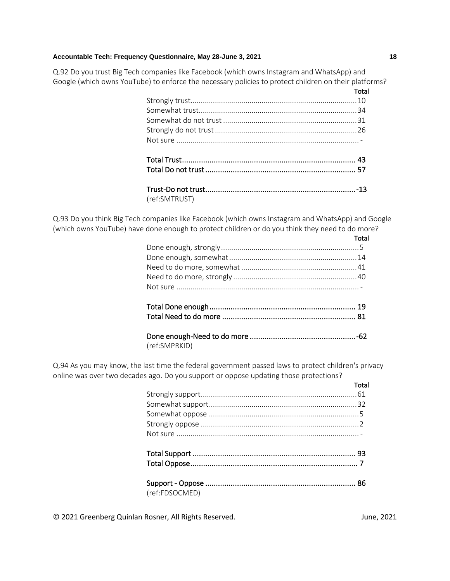Q.92 Do you trust Big Tech companies like Facebook (which owns Instagram and WhatsApp) and Google (which owns YouTube) to enforce the necessary policies to protect children on their platforms?<br>**Total** 

|               | Total |
|---------------|-------|
|               |       |
|               |       |
|               |       |
|               |       |
|               |       |
|               |       |
|               |       |
| (ref:SMTRUST) |       |

Q.93 Do you think Big Tech companies like Facebook (which owns Instagram and WhatsApp) and Google (which owns YouTube) have done enough to protect children or do you think they need to do more?

|               | Total |
|---------------|-------|
|               |       |
|               |       |
|               |       |
|               |       |
|               |       |
|               |       |
|               |       |
|               |       |
|               |       |
|               |       |
| (ref:SMPRKID) |       |

Q.94 As you may know, the last time the federal government passed laws to protect children's privacy online was over two decades ago. Do you support or oppose updating those protections?

|                | Total |
|----------------|-------|
|                |       |
|                |       |
|                |       |
|                |       |
|                |       |
|                |       |
|                |       |
|                |       |
| (ref:FDSOCMED) |       |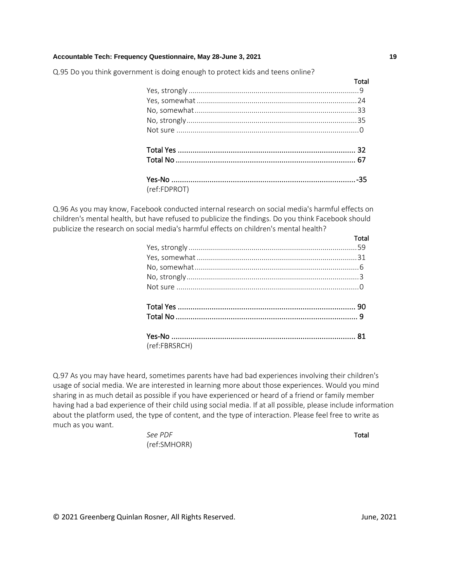Q.95 Do you think government is doing enough to protect kids and teens online?

|              | Total |
|--------------|-------|
|              |       |
|              |       |
|              |       |
|              |       |
|              |       |
|              |       |
|              |       |
|              |       |
| (ref:FDPROT) |       |

Q.96 As you may know, Facebook conducted internal research on social media's harmful effects on children's mental health, but have refused to publicize the findings. Do you think Facebook should publicize the research on social media's harmful effects on children's mental health?

|               | Total |
|---------------|-------|
|               |       |
|               |       |
|               |       |
|               |       |
|               |       |
|               |       |
|               |       |
|               |       |
|               |       |
|               |       |
| (ref:FBRSRCH) |       |

Q.97 As you may have heard, sometimes parents have had bad experiences involving their children's usage of social media. We are interested in learning more about those experiences. Would you mind sharing in as much detail as possible if you have experienced or heard of a friend or family member having had a bad experience of their child using social media. If at all possible, please include information about the platform used, the type of content, and the type of interaction. Please feel free to write as much as you want.

> **See PDF** Total (ref:SMHORR)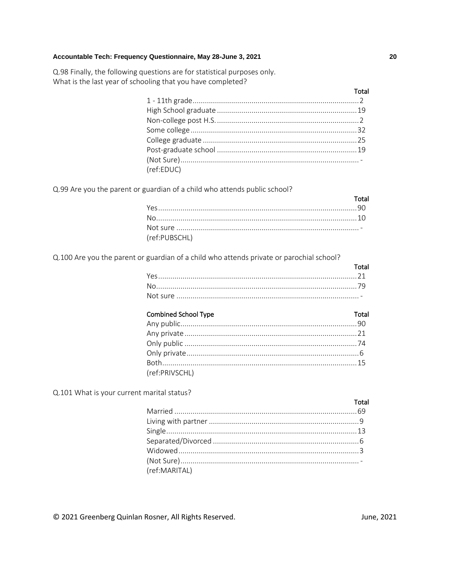Q.98 Finally, the following questions are for statistical purposes only. What is the last year of schooling that you have completed?

| (ref:EDUC) |  |
|------------|--|
|            |  |

Q.99 Are you the parent or guardian of a child who attends public school?

| (ref:PUBSCHL) |  |
|---------------|--|

Q.100 Are you the parent or guardian of a child who attends private or parochial school?

| Total |
|-------|
|       |
|       |
|       |

Q.101 What is your current marital status?

| (ref:MARITAL) |  |
|---------------|--|
|               |  |

© 2021 Greenberg Quinlan Rosner, All Rights Reserved.

20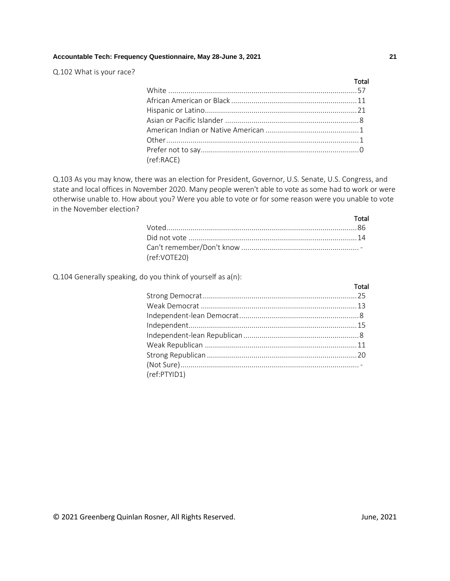Q.102 What is your race?

|            | Total |
|------------|-------|
|            |       |
|            |       |
|            |       |
|            |       |
|            |       |
|            |       |
|            |       |
| (ref:RACE) |       |

Q.103 As you may know, there was an election for President, Governor, U.S. Senate, U.S. Congress, and state and local offices in November 2020. Many people weren't able to vote as some had to work or were otherwise unable to. How about you? Were you able to vote or for some reason were you unable to vote in the November election?

|              | Total |
|--------------|-------|
|              |       |
|              |       |
|              |       |
| (ref:VOTE20) |       |

Q.104 Generally speaking, do you think of yourself as a(n):

|              | Total |
|--------------|-------|
|              |       |
|              |       |
|              |       |
|              |       |
|              |       |
|              |       |
|              |       |
|              |       |
| (ref:PTYID1) |       |
|              |       |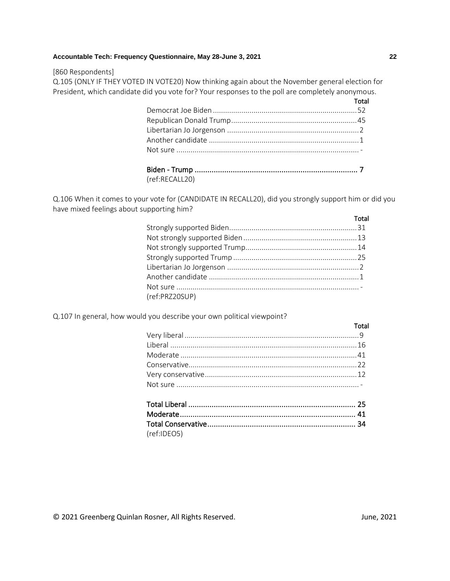#### [860 Respondents]

Q.105 (ONLY IF THEY VOTED IN VOTE20) Now thinking again about the November general election for President, which candidate did you vote for? Your responses to the poll are completely anonymous.

| Total |
|-------|
|       |
|       |
|       |
|       |
|       |
|       |

| (ref:RECALL20) |  |
|----------------|--|

Q.106 When it comes to your vote for (CANDIDATE IN RECALL20), did you strongly support him or did you have mixed feelings about supporting him?

|                | Total |
|----------------|-------|
|                |       |
|                |       |
|                |       |
|                |       |
|                |       |
|                |       |
|                |       |
| (ref:PRZ20SUP) |       |
|                |       |

Q.107 In general, how would you describe your own political viewpoint?

| and the contract of the contract of the Total |  |
|-----------------------------------------------|--|
|                                               |  |
|                                               |  |
|                                               |  |
|                                               |  |
|                                               |  |
|                                               |  |
|                                               |  |

Total Conservative ...................................................................... 34 (ref:IDEO5)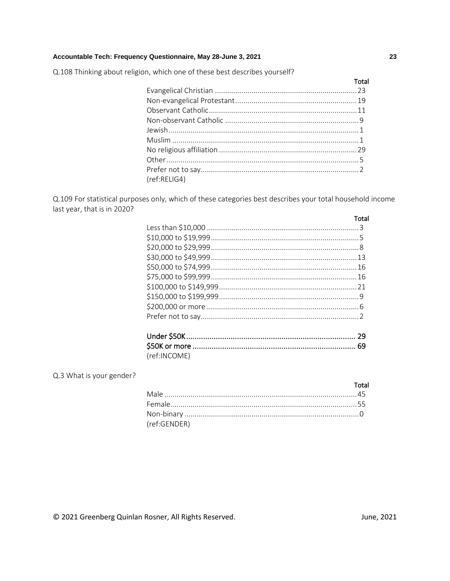Q.108 Thinking about religion, which one of these best describes yourself?

| (ref:RELIG4) |  |
|--------------|--|

Q.109 For statistical purposes only, which of these categories best describes your total household income last year, that is in 2020?

| Total |
|-------|
|       |
|       |
|       |
|       |
|       |
|       |
|       |
|       |
|       |
|       |
|       |
|       |

(ref:INCOME)

# Q.3 What is your gender?

# Total (ref:GENDER)

© 2021 Greenberg Quinlan Rosner, All Rights Reserved.

Total